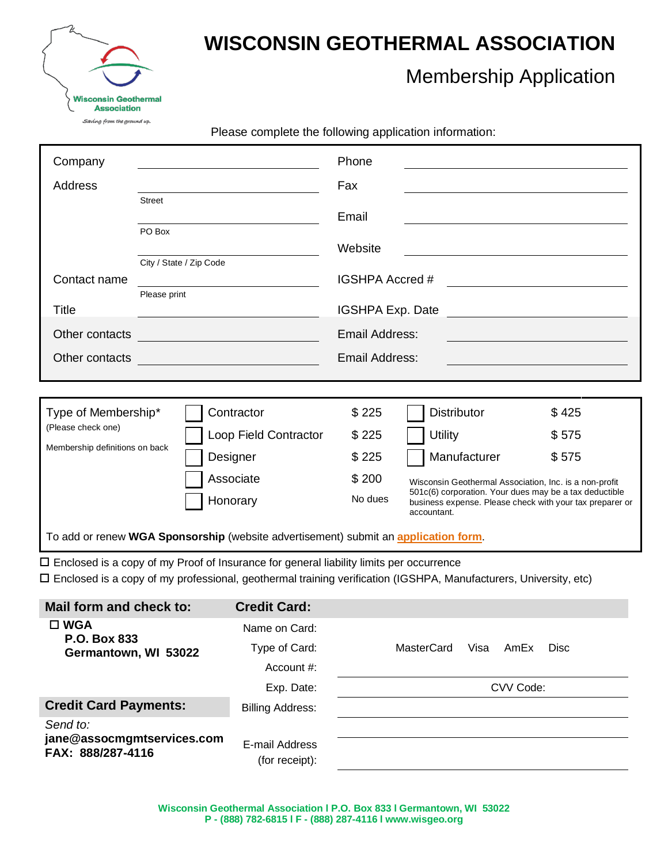

Г

## **WISCONSIN GEOTHERMAL ASSOCIATION**

## Membership Application

Please complete the following application information:

| Company                                                                                                                                |                         |           |                                                                                                | Phone          |                                                                                                                    |             |  |
|----------------------------------------------------------------------------------------------------------------------------------------|-------------------------|-----------|------------------------------------------------------------------------------------------------|----------------|--------------------------------------------------------------------------------------------------------------------|-------------|--|
| Address                                                                                                                                |                         |           |                                                                                                | Fax            |                                                                                                                    |             |  |
|                                                                                                                                        | <b>Street</b>           |           |                                                                                                | Email          |                                                                                                                    |             |  |
|                                                                                                                                        | PO Box                  |           |                                                                                                |                |                                                                                                                    |             |  |
|                                                                                                                                        | City / State / Zip Code |           | Website                                                                                        |                |                                                                                                                    |             |  |
| Contact name                                                                                                                           | Please print            |           | IGSHPA Accred #                                                                                |                | <u> 1989 - Johann Stoff, fransk politik (d. 1989)</u>                                                              |             |  |
| Title                                                                                                                                  |                         |           | IGSHPA Exp. Date                                                                               |                |                                                                                                                    |             |  |
| Other contacts                                                                                                                         |                         |           |                                                                                                | Email Address: |                                                                                                                    |             |  |
| <u> 1980 - Johann Barn, mars eta bat erroman erroman erroman erroman erroman erroman erroman erroman erroman err</u><br>Other contacts |                         |           | <b>Email Address:</b>                                                                          |                |                                                                                                                    |             |  |
|                                                                                                                                        |                         |           |                                                                                                |                |                                                                                                                    |             |  |
|                                                                                                                                        |                         |           |                                                                                                |                |                                                                                                                    |             |  |
| Type of Membership*<br>(Please check one)                                                                                              |                         |           | Contractor                                                                                     | \$225          | <b>Distributor</b>                                                                                                 | \$425       |  |
| Membership definitions on back                                                                                                         |                         |           | Loop Field Contractor                                                                          | \$225          | <b>Utility</b>                                                                                                     | \$575       |  |
|                                                                                                                                        |                         |           | Designer                                                                                       | \$225          | Manufacturer                                                                                                       | \$575       |  |
|                                                                                                                                        |                         | Associate |                                                                                                | \$200          | Wisconsin Geothermal Association, Inc. is a non-profit                                                             |             |  |
|                                                                                                                                        |                         |           | Honorary                                                                                       | No dues        | 501c(6) corporation. Your dues may be a tax deductible<br>business expense. Please check with your tax preparer or |             |  |
| accountant.                                                                                                                            |                         |           |                                                                                                |                |                                                                                                                    |             |  |
|                                                                                                                                        |                         |           | To add or renew WGA Sponsorship (website advertisement) submit an application form.            |                |                                                                                                                    |             |  |
|                                                                                                                                        |                         |           | $\Box$ Enclosed is a copy of my Proof of Insurance for general liability limits per occurrence |                |                                                                                                                    |             |  |
|                                                                                                                                        |                         |           |                                                                                                |                | □ Enclosed is a copy of my professional, geothermal training verification (IGSHPA, Manufacturers, University, etc) |             |  |
| Mail form and check to:                                                                                                                |                         |           | <b>Credit Card:</b>                                                                            |                |                                                                                                                    |             |  |
| $\square$ WGA                                                                                                                          |                         |           | Name on Card:                                                                                  |                |                                                                                                                    |             |  |
| <b>P.O. Box 833</b><br>Germantown, WI 53022                                                                                            |                         |           | Type of Card:                                                                                  |                | MasterCard<br>Visa<br>AmEx                                                                                         | <b>Disc</b> |  |
|                                                                                                                                        |                         |           | Account #:                                                                                     |                |                                                                                                                    |             |  |
|                                                                                                                                        |                         |           | Exp. Date:                                                                                     | CVV Code:      |                                                                                                                    |             |  |
| <b>Credit Card Payments:</b>                                                                                                           |                         |           | <b>Billing Address:</b>                                                                        |                |                                                                                                                    |             |  |
| Send to:<br>jane@assocmgmtservices.com<br>FAX: 888/287-4116                                                                            |                         |           | E-mail Address<br>(for receipt):                                                               |                |                                                                                                                    |             |  |